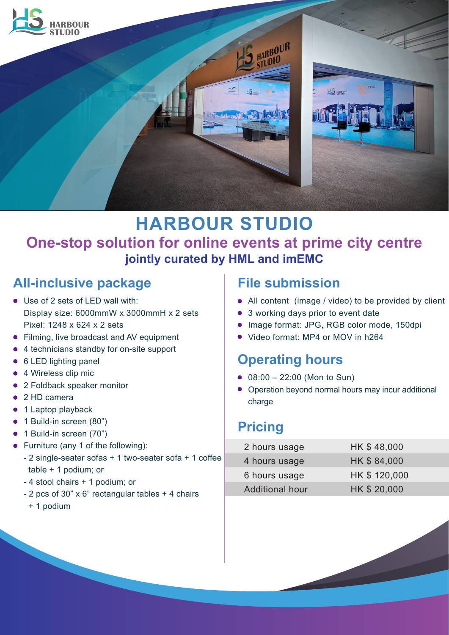

# **HARBOUR STUDIO One-stop solution for online events at prime city centre jointly curated by HML and imEMC**

# **All-inclusive package**

- Use of 2 sets of LED wall with: Display size: 6000mmW x 3000mmH x 2 sets Pixel: 1248 x 624 x 2 sets
- **•** Filming, live broadcast and AV equipment
- 4 technicians standby for on-site support
- 6 LED lighting panel
- 4 Wireless clip mic
- 2 Foldback speaker monitor
- 2 HD camera
- 1 Laptop playback
- 1 Build-in screen (80")
- 1 Build-in screen (70")
- Furniture (any 1 of the following):
	- 2 single-seater sofas + 1 two-seater sofa + 1 coffee table + 1 podium; or
	- 4 stool chairs + 1 podium; or
	- 2 pcs of 30" x 6" rectangular tables + 4 chairs
		- + 1 podium

### **File submission**

- All content (image / video) to be provided by client
- 3 working days prior to event date
- Image format: JPG, RGB color mode, 150dpi
- Video format: MP4 or MOV in h264

## **Operating hours**

- 08:00 22:00 (Mon to Sun)
- Operation beyond normal hours may incur additional charge

# **Pricing**

| 2 hours usage          | HK \$48,000  |
|------------------------|--------------|
| 4 hours usage          | HK \$84,000  |
| 6 hours usage          | HK \$120,000 |
| <b>Additional hour</b> | HK \$20,000  |